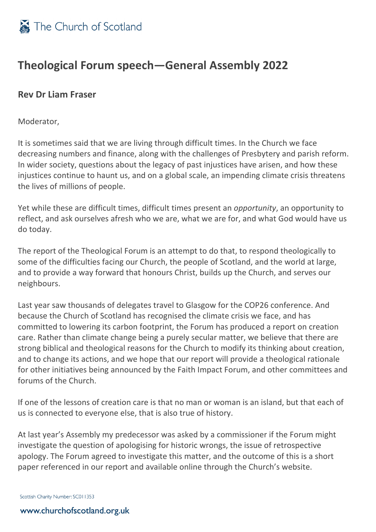

## **Theological Forum speech—General Assembly 2022**

## **Rev Dr Liam Fraser**

Moderator,

It is sometimes said that we are living through difficult times. In the Church we face decreasing numbers and finance, along with the challenges of Presbytery and parish reform. In wider society, questions about the legacy of past injustices have arisen, and how these injustices continue to haunt us, and on a global scale, an impending climate crisis threatens the lives of millions of people.

Yet while these are difficult times, difficult times present an *opportunity*, an opportunity to reflect, and ask ourselves afresh who we are, what we are for, and what God would have us do today.

The report of the Theological Forum is an attempt to do that, to respond theologically to some of the difficulties facing our Church, the people of Scotland, and the world at large, and to provide a way forward that honours Christ, builds up the Church, and serves our neighbours.

Last year saw thousands of delegates travel to Glasgow for the COP26 conference. And because the Church of Scotland has recognised the climate crisis we face, and has committed to lowering its carbon footprint, the Forum has produced a report on creation care. Rather than climate change being a purely secular matter, we believe that there are strong biblical and theological reasons for the Church to modify its thinking about creation, and to change its actions, and we hope that our report will provide a theological rationale for other initiatives being announced by the Faith Impact Forum, and other committees and forums of the Church.

If one of the lessons of creation care is that no man or woman is an island, but that each of us is connected to everyone else, that is also true of history.

At last year's Assembly my predecessor was asked by a commissioner if the Forum might investigate the question of apologising for historic wrongs, the issue of retrospective apology. The Forum agreed to investigate this matter, and the outcome of this is a short paper referenced in our report and available online through the Church's website.

Scottish Charity Number: SC011353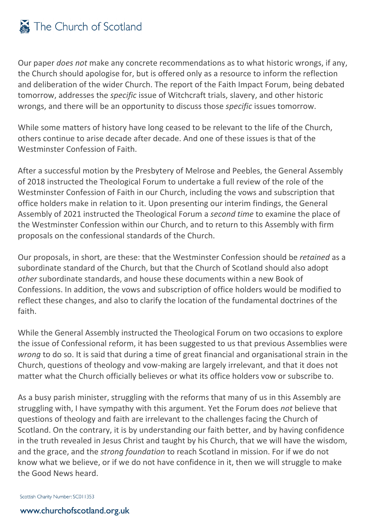Our paper *does not* make any concrete recommendations as to what historic wrongs, if any, the Church should apologise for, but is offered only as a resource to inform the reflection and deliberation of the wider Church. The report of the Faith Impact Forum, being debated tomorrow, addresses the *specific* issue of Witchcraft trials, slavery, and other historic wrongs, and there will be an opportunity to discuss those *specific* issues tomorrow.

While some matters of history have long ceased to be relevant to the life of the Church, others continue to arise decade after decade. And one of these issues is that of the Westminster Confession of Faith.

After a successful motion by the Presbytery of Melrose and Peebles, the General Assembly of 2018 instructed the Theological Forum to undertake a full review of the role of the Westminster Confession of Faith in our Church, including the vows and subscription that office holders make in relation to it. Upon presenting our interim findings, the General Assembly of 2021 instructed the Theological Forum a *second time* to examine the place of the Westminster Confession within our Church, and to return to this Assembly with firm proposals on the confessional standards of the Church.

Our proposals, in short, are these: that the Westminster Confession should be *retained* as a subordinate standard of the Church, but that the Church of Scotland should also adopt *other* subordinate standards, and house these documents within a new Book of Confessions. In addition, the vows and subscription of office holders would be modified to reflect these changes, and also to clarify the location of the fundamental doctrines of the faith.

While the General Assembly instructed the Theological Forum on two occasions to explore the issue of Confessional reform, it has been suggested to us that previous Assemblies were *wrong* to do so. It is said that during a time of great financial and organisational strain in the Church, questions of theology and vow-making are largely irrelevant, and that it does not matter what the Church officially believes or what its office holders vow or subscribe to.

As a busy parish minister, struggling with the reforms that many of us in this Assembly are struggling with, I have sympathy with this argument. Yet the Forum does *not* believe that questions of theology and faith are irrelevant to the challenges facing the Church of Scotland. On the contrary, it is by understanding our faith better, and by having confidence in the truth revealed in Jesus Christ and taught by his Church, that we will have the wisdom, and the grace, and the *strong foundation* to reach Scotland in mission. For if we do not know what we believe, or if we do not have confidence in it, then we will struggle to make the Good News heard.

Scottish Charity Number: SC011353